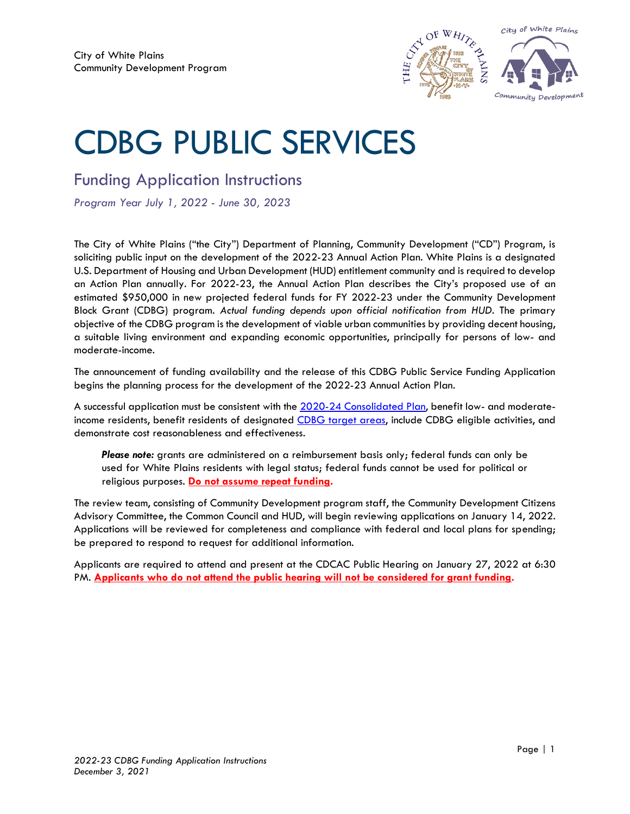

# CDBG PUBLIC SERVICES

Funding Application Instructions

*Program Year July 1, 2022 - June 30, 2023*

The City of White Plains ("the City") Department of Planning, Community Development ("CD") Program, is soliciting public input on the development of the 2022-23 Annual Action Plan. White Plains is a designated U.S. Department of Housing and Urban Development (HUD) entitlement community and is required to develop an Action Plan annually. For 2022-23, the Annual Action Plan describes the City's proposed use of an estimated \$950,000 in new projected federal funds for FY 2022-23 under the Community Development Block Grant (CDBG) program. *Actual funding depends upon official notification from HUD.* The primary objective of the CDBG program is the development of viable urban communities by providing decent housing, a suitable living environment and expanding economic opportunities, principally for persons of low- and moderate-income.

The announcement of funding availability and the release of this CDBG Public Service Funding Application begins the planning process for the development of the 2022-23 Annual Action Plan.

A successful application must be consistent with the [2020-24 Consolidated Plan,](https://www.cityofwhiteplains.com/ImageRepository/Document?documentId=6852) benefit low- and moderateincome residents, benefit residents of designated [CDBG target areas,](https://wp-planning.maps.arcgis.com/apps/webappviewer/index.html?id=03ffc216101f40128be610eb932cc2b9) include CDBG eligible activities, and demonstrate cost reasonableness and effectiveness.

*Please note:* grants are administered on a reimbursement basis only; federal funds can only be used for White Plains residents with legal status; federal funds cannot be used for political or religious purposes. **Do not assume repeat funding.**

The review team, consisting of Community Development program staff, the Community Development Citizens Advisory Committee, the Common Council and HUD, will begin reviewing applications on January 14, 2022. Applications will be reviewed for completeness and compliance with federal and local plans for spending; be prepared to respond to request for additional information.

Applicants are required to attend and present at the CDCAC Public Hearing on January 27, 2022 at 6:30 PM. **Applicants who do not attend the public hearing will not be considered for grant funding.**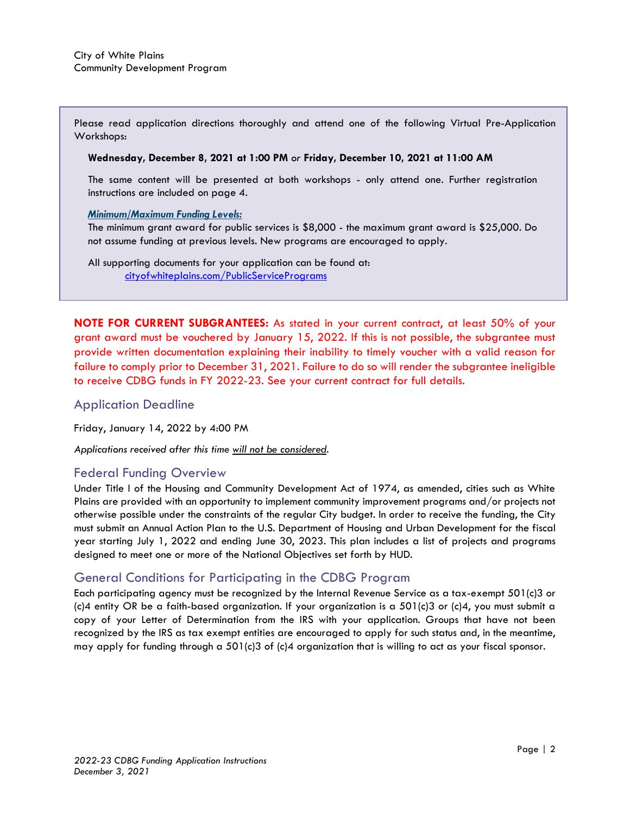Please read application directions thoroughly and attend one of the following Virtual Pre-Application Workshops:

#### **Wednesday, December 8, 2021 at 1:00 PM** *or* **Friday, December 10, 2021 at 11:00 AM**

The same content will be presented at both workshops - only attend one. Further registration instructions are included on page 4.

#### *Minimum/Maximum Funding Levels:*

The minimum grant award for public services is \$8,000 - the maximum grant award is \$25,000. Do not assume funding at previous levels. New programs are encouraged to apply.

All supporting documents for your application can be found at: [cityofwhiteplains.com/PublicServicePrograms](https://www.cityofwhiteplains.com/PublicServicePrograms)

**NOTE FOR CURRENT SUBGRANTEES:** As stated in your current contract, at least 50% of your grant award must be vouchered by January 15, 2022. If this is not possible, the subgrantee must provide written documentation explaining their inability to timely voucher with a valid reason for failure to comply prior to December 31, 2021. Failure to do so will render the subgrantee ineligible to receive CDBG funds in FY 2022-23. See your current contract for full details.

#### Application Deadline

Friday, January 14, 2022 by 4:00 PM

*Applications received after this time will not be considered.*

#### Federal Funding Overview

Under Title I of the Housing and Community Development Act of 1974, as amended, cities such as White Plains are provided with an opportunity to implement community improvement programs and/or projects not otherwise possible under the constraints of the regular City budget. In order to receive the funding, the City must submit an Annual Action Plan to the U.S. Department of Housing and Urban Development for the fiscal year starting July 1, 2022 and ending June 30, 2023. This plan includes a list of projects and programs designed to meet one or more of the National Objectives set forth by HUD.

#### General Conditions for Participating in the CDBG Program

Each participating agency must be recognized by the Internal Revenue Service as a tax-exempt 501(c)3 or  $(c)$ 4 entity OR be a faith-based organization. If your organization is a 501 $(c)$ 3 or  $(c)$ 4, you must submit a copy of your Letter of Determination from the IRS with your application. Groups that have not been recognized by the IRS as tax exempt entities are encouraged to apply for such status and, in the meantime, may apply for funding through a 501(c)3 of (c)4 organization that is willing to act as your fiscal sponsor.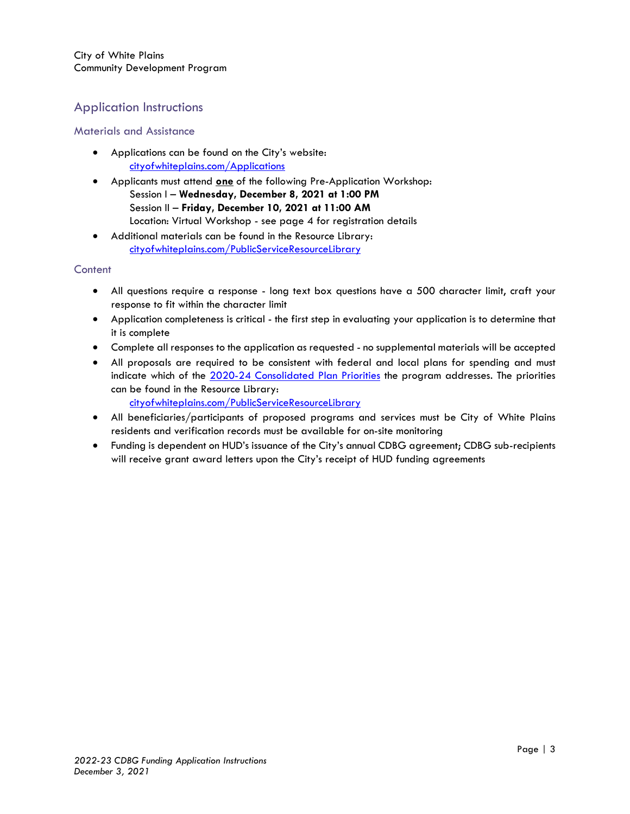### Application Instructions

#### Materials and Assistance

- Applications can be found on the City's website: [cityofwhiteplains.com/Applications](https://www.cityofwhiteplains.com/Applications)
- Applicants must attend **one** of the following Pre-Application Workshop: Session I – **Wednesday, December 8, 2021 at 1:00 PM** Session II – **Friday, December 10, 2021 at 11:00 AM** Location: Virtual Workshop - see page 4 for registration details
- Additional materials can be found in the Resource Library: [cityofwhiteplains.com/PublicServiceResourceLibrary](https://www.cityofwhiteplains.com/PublicServiceResourceLibrary)

#### Content

- All questions require a response long text box questions have a 500 character limit, craft your response to fit within the character limit
- Application completeness is critical the first step in evaluating your application is to determine that it is complete
- Complete all responses to the application as requested no supplemental materials will be accepted
- All proposals are required to be consistent with federal and local plans for spending and must indicate which of the [2020-24 Consolidated Plan Priorities](https://www.cityofwhiteplains.com/DocumentCenter/View/5534/2020-24-Consolidated-Plan-Priorities) the program addresses. The priorities can be found in the Resource Library:
	- [cityofwhiteplains.com/PublicServiceResourceLibrary](https://www.cityofwhiteplains.com/PublicServiceResourceLibrary)
- All beneficiaries/participants of proposed programs and services must be City of White Plains residents and verification records must be available for on-site monitoring
- Funding is dependent on HUD's issuance of the City's annual CDBG agreement; CDBG sub-recipients will receive grant award letters upon the City's receipt of HUD funding agreements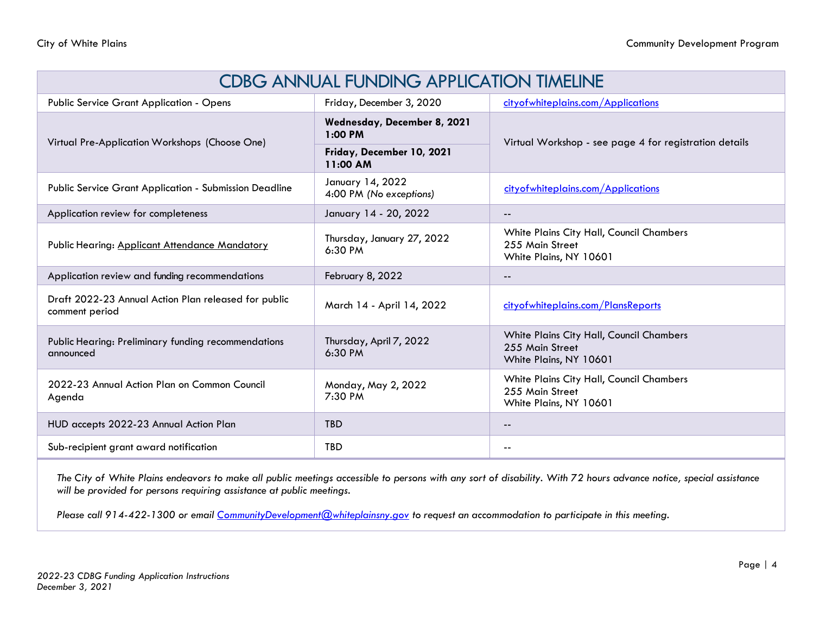| <b>CDBG ANNUAL FUNDING APPLICATION TIMELINE</b>                        |                                             |                                                                                       |
|------------------------------------------------------------------------|---------------------------------------------|---------------------------------------------------------------------------------------|
| Public Service Grant Application - Opens                               | Friday, December 3, 2020                    | cityofwhiteplains.com/Applications                                                    |
| Virtual Pre-Application Workshops (Choose One)                         | Wednesday, December 8, 2021<br>$1:00$ PM    | Virtual Workshop - see page 4 for registration details                                |
|                                                                        | Friday, December 10, 2021<br>11:00 AM       |                                                                                       |
| <b>Public Service Grant Application - Submission Deadline</b>          | January 14, 2022<br>4:00 PM (No exceptions) | cityofwhiteplains.com/Applications                                                    |
| Application review for completeness                                    | January 14 - 20, 2022                       | $- -$                                                                                 |
| Public Hearing: Applicant Attendance Mandatory                         | Thursday, January 27, 2022<br>6:30 PM       | White Plains City Hall, Council Chambers<br>255 Main Street<br>White Plains, NY 10601 |
| Application review and funding recommendations                         | February 8, 2022                            | $- -$                                                                                 |
| Draft 2022-23 Annual Action Plan released for public<br>comment period | March 14 - April 14, 2022                   | cityofwhiteplains.com/PlansReports                                                    |
| Public Hearing: Preliminary funding recommendations<br>announced       | Thursday, April 7, 2022<br>6:30 PM          | White Plains City Hall, Council Chambers<br>255 Main Street<br>White Plains, NY 10601 |
| 2022-23 Annual Action Plan on Common Council<br>Agenda                 | Monday, May 2, 2022<br>7:30 PM              | White Plains City Hall, Council Chambers<br>255 Main Street<br>White Plains, NY 10601 |
| HUD accepts 2022-23 Annual Action Plan                                 | <b>TBD</b>                                  | $- -$                                                                                 |
| Sub-recipient grant award notification                                 | <b>TBD</b>                                  | $\sim$ $\sim$                                                                         |

*The City of White Plains endeavors to make all public meetings accessible to persons with any sort of disability. With 72 hours advance notice, special assistance will be provided for persons requiring assistance at public meetings.* 

*Please call 914-422-1300 or email [CommunityDevelopment@whiteplainsny.gov](file:///C:/Users/kcrawford/AppData/Roaming/Microsoft/Word/planning@whiteplainsny.gov) to request an accommodation to participate in this meeting.*